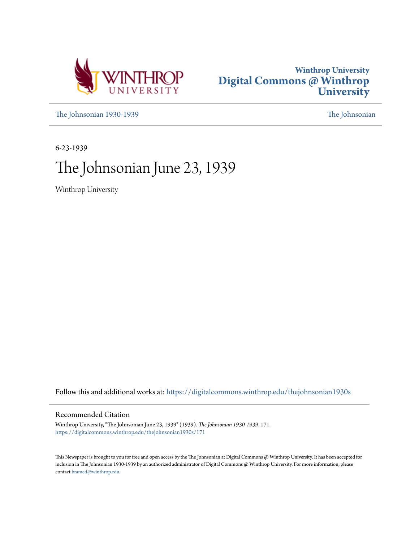



[The Johnsonian 1930-1939](https://digitalcommons.winthrop.edu/thejohnsonian1930s?utm_source=digitalcommons.winthrop.edu%2Fthejohnsonian1930s%2F171&utm_medium=PDF&utm_campaign=PDFCoverPages) [The Johnsonian](https://digitalcommons.winthrop.edu/thejohnsonian_newspaper?utm_source=digitalcommons.winthrop.edu%2Fthejohnsonian1930s%2F171&utm_medium=PDF&utm_campaign=PDFCoverPages)

6-23-1939

# The Johnsonian June 23, 1939

Winthrop University

Follow this and additional works at: [https://digitalcommons.winthrop.edu/thejohnsonian1930s](https://digitalcommons.winthrop.edu/thejohnsonian1930s?utm_source=digitalcommons.winthrop.edu%2Fthejohnsonian1930s%2F171&utm_medium=PDF&utm_campaign=PDFCoverPages)

## Recommended Citation

Winthrop University, "The Johnsonian June 23, 1939" (1939). *The Johnsonian 1930-1939*. 171. [https://digitalcommons.winthrop.edu/thejohnsonian1930s/171](https://digitalcommons.winthrop.edu/thejohnsonian1930s/171?utm_source=digitalcommons.winthrop.edu%2Fthejohnsonian1930s%2F171&utm_medium=PDF&utm_campaign=PDFCoverPages)

This Newspaper is brought to you for free and open access by the The Johnsonian at Digital Commons @ Winthrop University. It has been accepted for inclusion in The Johnsonian 1930-1939 by an authorized administrator of Digital Commons @ Winthrop University. For more information, please contact [bramed@winthrop.edu](mailto:bramed@winthrop.edu).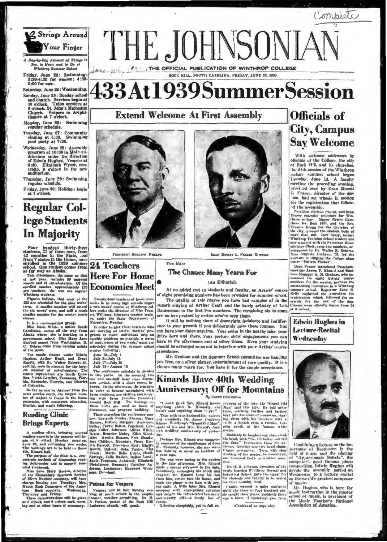

Day-by-Day Account of Things to Sec. to Hear, and to Do at Winthrop S  $2 - h$ 

Friday, June 23: Swimming:<br>3:30-4:30 for women; 4:30-5:00 for men.

Saturday, June 24: Weekending. Sunday, June 25: Sunday school<br>and church. Services begin at<br>10 o'clock, Union services at<br>8 o'clock, St. John's Methodist<br>Church. Veapers in Amphi-<br>theatre at 7 o'clock.

Monday, June 26: Swimming<br>regular schedule.

Tuesday, June 27: Community<br>singing at 6:30. Swimming<br>pool party at 7:30.

poor party at 7:30.<br>Wednesday, June 28: Assembly<br>program at 10:30 in Main auditorium under the direction<br>of Edwin Hughes. Vespers at<br>6:30. Elizabeth Wysor, con-<br>tralio. 8 o'clock in the new<br>auditorium.

Thursday, June 29: Swimming<br>regular schedule.

Friday, June 30: Holidays begin<br>at 1 o'clock.

# **Regular Col**lege Students In Majority

Four hundred thirty-three<br>students,  $32$  of them men, from<br>42 counties in the State, and<br>from 7 states in the Union, have<br>enrolled in the 1939 ammer-<br>school. One student comes from<br>3 far way as Alaska.<br>This attendance, th

This attendance, the agency and that the same of last year, includes 30 married Here For Home women and 41 out-of-statern. Of the encolor score of the encolor state of the are tenderes; the rest are regular and the state o

Winthrop students.<br>
Figures indicate that most of the<br>
Figures indicate that most of the<br>
1433 are scheduled for the nine weeks'<br>
the six weeks' term, and still a much<br>
smaller number for the master music<br>
smaller

cusses.<br>
It is a cosmospolitan group.<br>
Miss Susie White, a native South Carolinan, comes all the way from<br>
Alaxka where she is teaching in a<br>
government school. Miss Mary Jane<br>
Sanford comes from Washington, D.<br>
C. Others C. Others

of the state.<br>The music classes under Edwin<br>Hughes, Arthur Kraft, and Ernst<br>Kanitz, with Dr. Wakter Roberts di-<br>recling, seen to account for the largest<br>states represented are South Caro-<br>states represented are South Caro-



MAY SHELTON PHELPS

# **24 Teachers**

Twenty-four teachers of h Twenty-four teachers of Boste<br>con-<br>capital many high schools began<br>a two weeks course at Winthrop cul-<br>lege under the direction of Miss Fran-<br>ers. Williams, itinerant teacher train-<br>er, under the State Department of<br>Educat

Exercise of the property the second and the second and the second and the second and the second and the construction of the second second second second the second second second second second second second second second sec of contextness of two weeks units are<br>selected corring the summer school<br>scalon following:<br>Juny 5—July 15<br>July 31—August 12<br>July 31—August 12<br>July 31—August 12

Kanitz, with Dr. Walter Roberts di-<br>
leady, the stage of the large of the large and the large stage and the conference scholable is divided in Simon and the state in the more than in the more than the state is a conferenc



**ICATION OF WINTHROP** 

ROCK HILL, SOUTH CAROLINA, FRIDAY, JUNE 23, 1930

**433At1939SummerSession** 

DEAN MOWAT G. PRASER Director

### **The Chance Many Yearn For**

*Von Hore* 

THE JOHNSONIA

**Extend Welcome At First Assembly** 

### (An Editorial)

At no added cost to students and faculty, an Artists' course of eight promising numbers has been provided for summer school. The quality of this course you have had samples of in the superh singing of Arthur Craft and the lovely artistry of Lois Bannermon in the first two numbers. The remaining six to come are no less praised by critics who've seen them.

It will be nothing short of downright indolence and indifference to your growth if you deliberately miss these courses. You can have your dates anytime. Your swim in the nearby lake your drive here and there, your picture show engagements you can have in the afternoons and at other times. Even your studying should be arranged so as not to interfere with your Arthas' course attend

Mr. Graham and the Summer School committee are handing you free, on a silver platter, entertainment of rare quality. It is a chance many yearn for. You have it for the simple acceptance.

## Kinards Have 40th Wedding **Anniversary; Off for Mountains**

### **Hy CAPPY COVINGITION**

Thus with true bushand-like naivete da:

Perhaps Mrs. Kiaard was complete-<br>ly unaware of the significance of June<br>21. Probably, however, she was wait-<br>ing. holding in mind an incident of u year ago.

The two were horing in the garde ing deficiencies and to suggest rem-<br>
ing deficiences to the date. The D. B. Johnson, prondent of the composition, Schim Hughes will<br>
distress and the sense of the sense of the sense in the sense of the sense in the sense in the late afternoon. Mrs. Kinard

In the pole of the latest the pole of the pole of the latest the Cramb Old anything about it. Homestly, she Man" teld this tale. He teld other and functional states and the pole of the states of the manifold and the main o

Suddenly he laughed out, then sho Soloway is laughed out, then shoot a<br>bia head, with "No, I'd better not tell<br>you that." Persuasion from his au-<br>direct. Another negative head shake.<br>Urgent persuasion. Then, with show<br>stripger is made that the standard of dote.

over. I. B. R. Johnson, president of the newly founded Winthrop Normal and Industrial School, gave the signal for his students and faculty to be wrated for their noonday meal.

# **Officials** of **City, Campus Say Welcome**

Compiete

With welcome addresses by<br>officials of the College, the city of Rock Hill, and its churches, he 23th session of the Winthrop relative summer school began<br>Tuesday, June 13. A faculty<br>meeting the preceding evening, presided over by Dean Mowat G. Fraser, director of the ses-<br>ion, had set wheels in motion<br>for the registration that followd the assembly.

In the assembly, and Dean<br>President Shelton Pheips, and Dean<br>Praser extended welcomes for Win-<br>there extended welcomes for Win-<br>there for Rock Hill, and the Rev.<br>Terms: Gray Feveric Care the churches of the Cap Prancis Gr

mater "Pairest Phoen".<br>
Usen Praces and Space Conservative and Space-<br>
Usen-Fitter and Space And Space Manager A. Minia and Business Manager A. Michann, who an<br>
nonneed the eight Artists' component consider the model of th at 8 o'clock.

### **Edwin Hughes in Lecture-Recital** Wednesday



Combining a lecture on the im-<br>criance of Beethoven in the nertance of perture or necessary and the playing<br>of "Appassionate Sonata", the<br>composer's most famous piano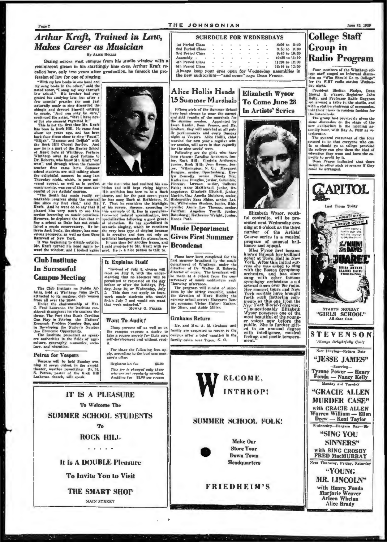### THE JOHNSONIAN

Lat Period Class

2nd Period Class<br>3rd Period Class

Assembly<br>
4th Period Clavs<br>
5th Period Clavs

**College Staff** 

**Radio Program** 

Four members of the Winthrop col-<br>lege staff staged an informal discussion on "Who Should Go to College"<br>for the WBT radio station Wednes-

any sugar.<br>Mowat G. s'raser, Registrar John<br>Mowat G. s'raser, Registrar John<br>Kelly, and Professor Sadis Goggana<br>set around a table in the atudio, and

sat around a tane in the studio, and the studio, and with a station chairman of ceremonles.<br>told their tiews in random fashion for the liatenes-<br>in. The group had previously given the state same discussion on: the stage of

terior to be that everyone who can<br>recently the sense of the four<br>recented to be that everyone who can<br>do as skuud go to college provided<br>the college can give them the kind of<br>education they want and have the easing posity

**APITOL** 

**MIGHTY KING** A PROUD QU. EN!

hell the courage

**Z/MUNI**<br>*Ri***z DAVIS** 

**SHARET** 

TRIAL ARTENT

STARTS MONDAY<br>"GIRLS SCHOOL"

All-Star Cast

**STEVENSON** 

Always Delightfully Coolf

Last Times Today

**Group** in

day night.

terlocutor.

### **Arthur Kraft, Trained in Law, Makes Career as Musician Ry Arrest Horans**

Gazing across west campus from his studio window with a reminiscent gleam in his startlingly blue eyes, Arthur Kraft recalled how, only two years after graduation, he forsook the profession of law for one of singing.

ession of law foot one of our-peer

noted tenor, "If sang my way through noted tenor,"<br>I sang my way through general bis attalying law, but after a<br>general form and the main just form and the state of the main just form in<br>the state of the main just of the

### **Club Institute In Successful Campus Meeting**

The Club Institute on Public Af-The Club Institute on Public Af-<br>
forthe Af-<br>
for the state of the State and Windows (sub women<br>
attracted to its assume, club women<br>
Inder the chairmanship of Mrs.<br>
C. Fred Laurence, the Institute con-<br>
identified through

stacered throughout its six sessions the Carolina<br>Can Play in Solving the Nations'<br>Can Play in Solving the Nations'<br>Economic Problem Number One, and<br>in Developing the Nation's Number<br>One Fermonic Oppartunity.<br>The Institute

culture, geography, economics, so

### Petrea for Vespers

Vespers will be held Sunday evening at seven o'clock in the amphi-<br>theater, weather permitting. Dr. H.<br>S. Petrea, paster of the Reck Hill<br>Lutheran church, will speak.

**IT IS A PLEASURE** 

**To Welcome The** 

**SUMMER SCHOOL STUDENTS** 

**To** 

**ROCK HILL** 

. . . . .

It Is A DOUBLE Pleasure

**To Invite You to Visit** 

**THE SMART SHOP** MAIN STREET

Winther<br>power its good fortune to the specific relationships on the positive and the<br>section of the definite of the same between the same relations are still taking a<br>bottom in farmour stacked studients are still taking a

It Explains Itself 1 computes the digital of July 2, cleases will<br>
meet on July 8, with the under-<br>
standing that no absence will be<br>
permitted or requested on the day<br>
before or after the holidays, Fri-<br>
day, June 30, or Wednesslay, July<br>
3

### **Want To Audit?**

Many persons off as well as on the campus express a desire to<br>take a course merely for their own<br>self-development and without cred-For those the following fees apply, according to the business manager's office:

MOWAT G. FRASER

Registration fee \$5,00 **This fre is charged only those**<br>who are not regularly enrolled.<br>Auditing fee \$3.00 per course

 $\mathbf{r}$ 

Plans have been completed for the first summer broadcast by the music department of Winthrow, under the branch direction of Dr. Walter B. Roberts, direction of Dr. Walter B. Roberts, be mude at  $4$  o'clock from the constr

### **Grahams Return**

Mr. and Mrs. A. M. Graham and family are exepected to return to the campus after a brief vacation in the family cabin near Tryon, N. C.

Alice Hollis Heads 15 Summer Marshals

**123 Bummer VI arshals**<br>
Fifteen girls of the Summer School<br>
have been chosen to wear the game<br>
and god regula of the marshals for<br>
the summer scassion. Appointed by<br>
the summer scassion. Appointed by<br>
Derahan, they will o

Katharine Douglas, juvice, Columbia;<br>Felence Lawson, sevlor, Collumbia;<br>Falls; Anne McMichael, junior, Orangeburg: Elizabeth Mitchell, junior, orangeburg: Elizabeth Mitchell, junior,<br>Batharin, Ga.; Amelia Muldrow, senior,

# **Music Department**

## **Gives First Summer Broadcast**



## **Elizabeth Wysor To Come June 28**

**SCHEDULE FOR WEDNESDAYS** 

Always keep your eyes open for Wednesday assemblies in<br>the new auditorium---"and come" says Dean Fraser.

In Artists' Series

Elizabeth Wysor, youth-<br>ful contralto, will be pre-<br>sented next Wednesday evening at 8 o'clock as the third number of the **Artists** 

ning at 8 o'clock as the third<br>number of the Artista'<br>Course series in a musical<br>program of unusual brill-<br>is an expected in a musical<br>is an expected in a musical<br>is a singular of the artificiant<br>debut at Town Hall in New<br>





8:00 to 8:40<br>9:50 to 9:30<br>9:40 to 10:20

 $10:30 to 11:10$ 

11:30 to 12:00

most because the voices now before the<br>public. She is further gift-<br>ed to an unusual degree<br>with intelligence, musical<br>feeling, and poetic tempera-<br>ment." ment.

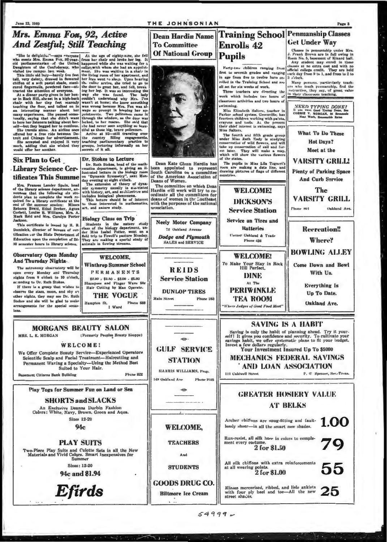### THE JOHNSONIAN

**Dean Hardin Name** 

Dean Kate Glenn Hardin has

been appointed to represent

of the American Association of

The committee on which Dean<br>Hardin will work will try to co-

ordinate all the committees for<br>deans of women in the Southeast

with the purposes of the national

**Neely Motor Company** 

72 Oakland Avenue

Deans of Women.

**To Committee** Of National Group Pupils

Mrs. Emma Fox. 92. Active

**And Zestful: Still Teaching** 

"She is delightfor"-says everyone (At the age of eighty-nine, she fell, who meets Mrs. Exama Fox, 92-year-<br>
from her chair and broke her leg. It of the confederation of the United happened while she was waiting for a Daug

to bore her listeners talking about her- lucked, to her reactes. She asid that self-but they begred her to continue. She had never seen anything so beau-<br>She travels alone. An airline once itiful as those big, brave polic

**Biology Class on Trip** 

Dr. Stokes to Lecture **Six Plan to Get** Dr. Stokes to Lecture<br>  $\text{Dr. Stokes to Lecture}$ <br>  $\text{br. Ruth Stokes, head of the math-  
lautrate determine in the biology room  
and feature in the biology room  
may events of the centroid  
may remain at eight vddon. The estimation of theory of dynam-  
mic symmetry usually is associated  
with history, art, and anchileute and  
indodes biological phenomena.  
It is between should be of interest  
at, and nature study.$ **Library Science Cer**tificates This Summe

Mrs. Frances Lander Spain, head Mrs. Frances Lander Spain, neau of the library science department, and<br>nounces that the following six students plan to complete the work re-<br>quired for a library certificate at the<br>end of the summer session: Misses end of the summer seasion: Misser<br>Rebecca Braid, Ethel Dreher, Agnes<br>Corbett, Louise B. Williams, Mrs. A. Mack Reid and Mrs. Carolyn Porter

This certificate is issued by H. B. Dominick, director of hureau of certification sor the State Department of



Forty-two children ranging from first to seventh grades and ranging in age from five to twelve have onrolled in the Training School and are all set for six weeks of work.

Enrolls 42

Three teachers are directing the ork which includes two hours of classroom setivities and two hours of wimming.

swimming,<br>
Miss Elizabeth Salters, teacher in<br>
Parker school system, Greenville, has<br>
fourteen children working with paints<br>
crayons and tools. At the present<br>
their chief interest is awimming, says Miss Salters

mas causers.<br>The fourth and fifth grade group under Miss Ruth Sady is studying<br>conservation of wild flowers, and will<br>cake up conservation of anil and for-<br>ext later. They will make a map,<br>which will show the various flowe of the states.

The pupils in Miss Lila Togneri's room are making a date line, and<br>drawing pletures of flags of different<br>countries.

Classes in pennomahlp under Mrs.<br>J. Frank Brown are in full swing in Roum No. 6, hasement of Kinard hall.<br>Any student may evrall in these classes at no extra cost and with no<br>official college credit. They are held<br>officia  $3$  o'clock

Many persons, particularly teach-<br>ers who teach penmanship, find the instruction, they say, of great value

 $\begin{array}{c} NEED\ \color{red}TPPING\ \color{red}DONE?\\ \text{It is easy to be a good Type Dous, Bous},\\ \text{conRule }\ \text{V. NORGAN, 16} \ \text{theoansable}\\ \text{Noat. Work, Runsonable Rates}\\ \end{array}$ What To Do These **Hot Days?** Meet at the **VARSITY GRILL! Plenty of Parking Space And Curb Service WELCOME!** The **VARSITY GRILL DICKSON'S** Oakland Ave. Phone 801 **Service Station** Service on Tires and **Hatteries Recreation!!** Corner Oakland & Trade

## **Training School Penmanship Classes Get Under Way**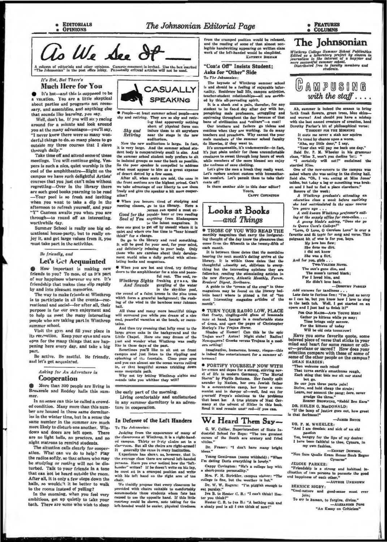

A column of editorials and other opinions. Campus comment is invited. Use the box marked<br>"The Johnsonian" in the post office lobby. Personally critical articles will not be used.

### It's Hot, But There's **Much Here for You**

It's hot-and this is supposed to be vacation. You are a little skeptical about partles and programs not necessary, and assemblies, and anything else that sounds like learning, you say.

Well, don't be. If you will stop racing around for a minute and look around you at the many advantages-you'll say. "I never knew there were so many wonderful things to do, so many places to go outside my three courses that I slave through daily."

Take time off and attend some of these meetings. You will continue going. Vespers is such a nice, quiet worship in the cool of the amphitheatre-Right on the campus we have such delightful Artists courses that you just can't miss without regretting-Over in the library there are such good books yearning to be read -Your pool is so fresh and inviting when you want to take a dip in the afternoon to refresh yourself, and your 'Y" Canteen awaits you when you are through-to round off an interesting. worthwhile day.

Sumn.er School is really one big educational house-party, but to really enjoy it, and get large values from it, you must take part in the activities.

### Be friendly, and

### Let's Get Acquainted

How important is making new friends to you? To most of us it's part of our happiness wherever we are. It's friendship that makes time slip rapidly by and into pleasant memories.

The way to make friends at Winthrop is to participate in all the events-re reational and social-for after all, their purpose is for our own enjoyment and to help us meet the many interesting people who are taking part in Winthrop summer school.

Visit the gym and fill your place in its reception. Keep your eyes and ears open for the many things that are happening here every day, and take a big part.

Be active. Be zestful. Be friendly. and let's get acquainted.

> Asking for An Adventure in **Cooperation**

More than 300 people are living in Breazeale and Roddey halls this summer.

In no sense can this be called a crowded condition. Many more than this number are housed in these same dormitorles in the winter time, but in a sense the same number in the summer are much ntore likely to disturb one another. Windows and doors are left open. There are no light bells, no proctors, and no night matrons to remind students.

The situation calls clearly for cooper ation. What can we do to help? Play the radios softly, so that others who may be studying or resting will not be disturbed. Talk to your friends in a tone that can not be heard outside the room. After all, it is only a few steps down the halls, so wouldn't it be better to walk to the rooms instead of yelling?

In the morning, when you feel very ambitious, get up quietly to take your bath. There are some who wish to sleep



Prophe-at least summer school people-are<br>aby and retiring. They are so shy and retiring that apparently nothing<br>lay that apparently nothing<br>thert of physical force can

induce them to alt anyw Shu and

Retiring near the stage in the new auditoriu Now the new auditorium is large. In fact,

Now the new auditorium is large. In fact, it is very large and the summer school studies dent both summer school student base. And the summer school student base both is isolated groups as near the basek as possible. So t

ation? When you become tired of studying and<br>meeting classes,  $g\omega$  to tie library. Here a<br>Good for the joyable-hour or two reading<br>Soul of You anything from Shakespeare<br>Soul of You anything from Shakespeare<br>to the latest

where one has time to "hear himself think" for a change.

the company and read something.<br>It will be good for your soul, for your mind,<br>It will be good for your soul, for your mind,<br>and deliciously relaxing to your body. Only<br>those who are careless about their develop-<br>ment would lating books and magaz

. When you are hot and tired, try drifting

**So When** you are not and tired, try drifting<br>down to the amphitheater for a nice and pass-<br>Winthrop Sights freeshing grass, the exact that  $Ad$  Sounds surging of the water<br>in the aky-blue pool,<br>the sound of a faint breeshe hall

All these and many more beautiful things will surround you while you dream of a nice<br>cool, peaceful vacation at the beach, or moun-

And then try grossing that lofty crest to the Annument try creating that turk the background and the Little Chapel. Here one may dream of the past and wonder what Winthrop was really

ast and wonder what Wishbrop was really<br>the in those days of the past.<br>Sometimes you'll like to sit out on front<br>ampus and just listen to the rippling and<br>plashing of the fountain. Close your eyes spl and you can almost see the ocean waves rolling  $\mathbf{in}_{\epsilon}$  or that benutiful stream trickling dow some mountain path.

Why not try letting Winthrop sights and<br>wunds take you whither they will?

the early part of the morning.

Living comfortably and undisturbed in any summer dormitory is an adventure in cooperation.

### In Defense of the Left Handers To The Johnsonian:

Judging from the appearance of many of the classrooms at Winthrop, it is a right-handclav-room. But all the chairs are right-arm<br>It generally the same in every institution.

Experience has shown us, however, that in the average class there are several left-handed<br>persons. Have you ever noticed how the "left-handed" writes? if he doesn't write on his lap, be must set in a cramped position and write<br>with his teft hand on the right arm of tne chair

We timidly propose that every closeroom over similarly propose that every cancerous or provided with chairs authority accumosolate those students. When fate based to use the opposite hand. If this little country could be aboven, note taking for the left-handed w

from the cramped position would be released rrom the cramped position would be reteated.<br>and the reading of some of that almost non-<br>legible handwriting appearing on written class<br>werk of the left-handed would be simplifed.<br>KATHEYN HODIAM

"Coats Off" Insists Student: Asks for "Other" Side

To The Jakasonien-

The keynote of Winthrop summer school<br>is and should be a feeling of enjoyable infor-<br>raality. Residence hall life, campus activities,<br>teacher-student relationships-all are enriched by this all-pervading spirit.

It is a shock and a nain, therefor, for any It is a shock and a pain, therefore, for any student to be faced day after day with hot, perspiring male professors, struggling and squirining throughout the day because of that bane of civilization and "culture"—a coat! O

ontless when they are verking. So do maintain the search of the search of the poster of the poster of the summer school facul likewise, if they want to.<br>It's unreasonable, it's undemocratic-in fact,

It's unreasonable, it's underscated---in fact,<br>it's just plain unfair for those uncomfortable<br>creatures to awest through long hours of work<br>while menhers of the more blessed sex enjoy<br>the molessed sex enjoy<br>Let's give the

cuate off!

Is there another side to this dear editor? Yours,<br>Cappy Covington

Looks at Books —and Things

THOSE OF YOU WHO READ THE y magazines that carry the inv thly o ing the come from the fifteenth to the twenty-fifth of . . <u>. .</u> munth.

each musth.<br>It is between those dates that the monthles<br>bearing the next month's dating arrive at the<br>library. It is within those dates that the<br>thoughtful ashority set, oblivious to every-<br>thing but the interesting opinio the new Harpers, Atlantic Monthly, Forum, new Dige *leaders' Digest, Scribners.*<br>A guide to the "cream of the crop" in the to.

magazines may be found on the library bul-<br>letin board where in pinned a list of "ten<br>most interesting magazine articles of the

**.** TURN YOUR RADIO LOW, PLACE that that frosty, tingling-cold glass of lemonade<br>near at hand, lounge in a comfortable state

ncar at hand, obtaine in a confortable state<br>of dress, and open the pages of Christopher<br>Morley's The Trojan Herrs.<br>Shades of Homer! Can this be the epic<br>Trojan war? Autos! Night clubs! Radios!<br>Newspapers! Greeks versus Tr tualities are

Imaginative, humorous, breezy, risque-this in Inde ed fine entertainment for a summer afternous!

**• FORTIFY YOURSELF NOW WITH** ice cream and dopes for a strong, stirring nov-<br>el uf life in modern Germany, "The Mortal<br>Starm" by Phyllis Bottome. Her family split Surm a preparation. Her raining spiritual states and a sometime in a concentration camp, her lower a communist minimization camp is not provided that benefit that the problems that benefit that benefit that benefit that b Rend it and remain unsti red-If you can.

## We Heard Them Say-

G. W. Collier, Superintendent of State In-<br>dustrial School for Boys: "The two greatest<br>curses of the South are oratory and fried vittles.

- Dr. Fraser: "I don't have many bright Ideas! Young Gentleman (name withheld): "When
- I'm dating Doris everything is lovely. Cappy Covington: "He's a college boy with
- ort-pants personality.'

Mrs. F. H. Strickler, campus visitor: "The college is fine, but the weather is hot." Dr. W. W. Rogera: "I'm piggish enough to

eat paraley. Iva B. to Hester C. B.: "I can't think! Hester you think!'

Henter C. B. to Iva B.: "A bathing suit and<br>a shady pool in all I can think of now!"

## The Johnsonian

Winthrop College Summer School Publication<br>Edited as a laboratory project by classes in<br>Edited as a laboratory project by classes in<br>journalism in the interest of a happier and<br>more successful ransmer school.<br>Distributed f

GAMPUSING with the staff....

Ah, summer is indeed the season to bring forth fresh flowers, green trees, blue akies-<br>and worms! And should you have a mishap with the last named creation, beed to<br>bord point of particular of creation, beed borders of cr

It costs me never a stab nor squirm

It costs me never a stan nor squrm<br>To tread by chance upon a worm.<br>"Aha, my little dear," I say,<br>"Your clan will pay me back one day,"<br>Said Dr. P. M. Wheeler in his grammar<br>class, "Hies X, won't you decline 'or:."<br>"I esta

tartled Miss.

started Zimm, the new-convers to the campus was<br>asked where she was eating in the dining hall.<br>Said the, "Oh, I was exting at Miss Jones".<br>Lables, but t.day a leg or something was brok-<br>en and I had to find a place elsewh

Bonere of the week:

A Winthrop graduate's attending and<br>relucation class a week before realisting<br>she had matriculated in the same course

ahe had natriculated in the same course<br>
'ten years ago . . .<br>
A well known Winthrop professor's eall-<br>
ing at the supply office for coca-colas, . . .<br>
A young blacks acking, "Does she go<br>
to Queen Cora's College!"

ove, O Love, O Careless Love" is ever a

"Love, O Love, O Caretas Love" users a fit over the polynomial of the polynomial of the polynomial polynomial polynomial polynomial control of the subset of the solution of the solution of the solution of the solution of t

- 
- She was a flirt.
- And for you, girls ....<br>Two-Volume Novel.

- The sun's gone dim, and<br>The moon's turned black; The moon's turned b<br>For I loved him, and<br>He didn't love back.
	-

-n Add excuses for tardiness . . .

Late date to furious fem: "I'm just as sorry as I can be, but you know how I love to sing opera and I just had to finis avr.<br>th:It?'

For OLD Marke-AND Young MEN!<br>Gather ye kitens while ye may;<br>Time brings only sorrow.<br>For the kittens of today

**DEAN HARDIN:** 

that darkness!'

For the kittens of tous,<br>Will be old cats tomotrow! Have you some favorite quote, some have you some favorite quote, some<br>beloved piece of verse that sticks in your<br>mind and heart for some reason or other-<br>profane or ascred? How does your<br>selection compare with these of some of<br>some of the other people on th

"Then welcome each rebuff"<br>Then welcome each rebuff<br>Each sting that bids nor sit nor stand

East manus team once met me team and but go.<br>Be our loys three parts pain!<br>Strive, and hold cheap the strain;<br>Learn, nor account the pang; dare, never<br>grudge the throu."<br>Roazar BROWNING, "Rabbi Ben Exra"

"If the lamp of justice goes out, how great

"And I am desolate and sick of an old

passion<br>Yez, bungry for the lips of my desire:<br>I have been faithful to thee, Cynara, in

"Non Sum Qualis Eram Honae Suub Regno

"Friendship is a strong and habitual in-<br>"Friendship is a strong and habitual in-<br>clination of two persons to pormote the good

Good-nature and good-sense must ever

To err is human, to forgive, divine."

**JAMES BRYCE** 

-ENNEST DOWN

-AUTHOR UNKNOWN

**-ALEXANDER POPE** "An Essay on Criticism"

Cynarae"

DR. HELEN G. MaeDONALD:

DR. P. M. WHEELER:

my own fashion.

JEDDIE PARKER.

**BERNICE BIGBY:** 

Join: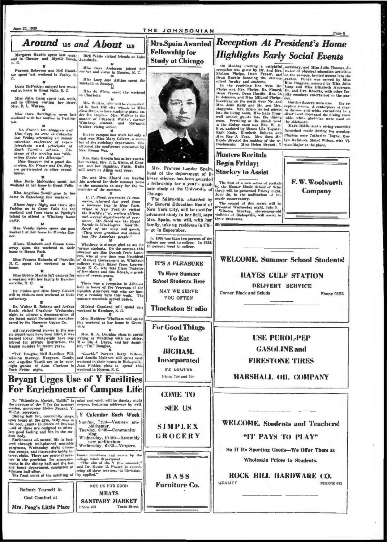| Around us and About us                                                                                                                                                                                                                                                                                                                                                                                                                                                               |                                                                                                                                                                                                                                                                                                                                                                                                                                                                                                                                                                      | Mrs.Spain Awarded<br><b>Fellowship for</b>                                                                                                                                        | <b>Reception At President's Home</b>                                                                                                                                                                                                                                                                                                                                                                                                                                                                                                                                                                                                                                                                                                                                                                                                                                                                                                                                                                                                                                                                                                                                                                                                                                                                                                                                                                                                                                                                                                   |
|--------------------------------------------------------------------------------------------------------------------------------------------------------------------------------------------------------------------------------------------------------------------------------------------------------------------------------------------------------------------------------------------------------------------------------------------------------------------------------------|----------------------------------------------------------------------------------------------------------------------------------------------------------------------------------------------------------------------------------------------------------------------------------------------------------------------------------------------------------------------------------------------------------------------------------------------------------------------------------------------------------------------------------------------------------------------|-----------------------------------------------------------------------------------------------------------------------------------------------------------------------------------|----------------------------------------------------------------------------------------------------------------------------------------------------------------------------------------------------------------------------------------------------------------------------------------------------------------------------------------------------------------------------------------------------------------------------------------------------------------------------------------------------------------------------------------------------------------------------------------------------------------------------------------------------------------------------------------------------------------------------------------------------------------------------------------------------------------------------------------------------------------------------------------------------------------------------------------------------------------------------------------------------------------------------------------------------------------------------------------------------------------------------------------------------------------------------------------------------------------------------------------------------------------------------------------------------------------------------------------------------------------------------------------------------------------------------------------------------------------------------------------------------------------------------------------|
| Margaret Hardin spent last week-1<br>end in Chester and Myrtle Beach, Junuluska.<br>S. C.                                                                                                                                                                                                                                                                                                                                                                                            | Dick White visited friends at Lake                                                                                                                                                                                                                                                                                                                                                                                                                                                                                                                                   | <b>Study at Chicago</b>                                                                                                                                                           | <b>Highlights Early Social Events</b>                                                                                                                                                                                                                                                                                                                                                                                                                                                                                                                                                                                                                                                                                                                                                                                                                                                                                                                                                                                                                                                                                                                                                                                                                                                                                                                                                                                                                                                                                                  |
| Frances Roberson and Nell Hamil-<br>ton spent 'ast weekend in Easley, S.<br>$\mathbb{C}$<br>Doris McFadden enjoyed last week-<br>end at home in Great Falls, S. C.<br>Miss Julia Lang spent last week;<br>end in Clinton visiting her sister,<br>Mrs. R. L. Watson.<br>Miss Dora Harrington spent last<br>weekend with her mother in Darling-<br>Dr. Francis, Dr. Magginia and<br>Mine Goys ne sere in Columbia<br>last Friday attending un annual<br>education conference of auper- | Miss Sara Anderson Joined her<br>mather and sister in Monroe, N. C.<br>Miss Lucy Ana Aittino spent the<br>weeken! in Sumter.<br>Miss Jo White spent the weekend<br>in Charlotte.<br>Mrs. Walker, who will be remember<br>ed in Rock Hill city rehools as Miss<br>Nina Outes, is here studying pinno un-<br>der Dr. Hughes. Mrs. Walker is the<br>mather of Elizabeth Walker, former<br>Winthrop student, and Margaret<br>Walker, rising renior.<br>On the campus last week for only a<br>visit was Miss Mary Calvert, a m.m.<br>ber of the sociology department. She |                                                                                                                                                                                   | On Monday evening a delightful secretary, and Miss Julia Thomas, di-<br>reception was given by Dr. and Mrs. rector of physical education activities<br>Shelton Phelps, Dean Fraser, and on the campus, invited guests into the<br>Dean Hardin honoring the summer garden. Punch was served by Miss<br>school faculty and students.<br>Rita Huggins, assisted by Miss Julia<br>In the receiving line were Dr. Long and Miss Elizabeth Anderson.<br>Phelps and Mrs. Phelps, Dr. Kinard, Dr. and Mrs. Roberts, with other fac-<br>Dean Fraser, Dean Hardin, Mrs. D. ulty members entertained in the gar-<br>B. Johnson, and Miss Mildred Phelps. den.<br>Receiving on the parch were Mr. and<br>Garden flowers were used the re-<br>Mrs. John Kelly and Mr. and Mrs.<br>ception rooms. A centerpiect of shas-<br>Magginis. Mrs. Spain inv ted guests<br>In daisies and white carnations in a<br>into the living room. Miss Sara Crag-<br>silver bowl decorated the dining room<br>wall invited guests into the dining<br>able, white gladiolas were used on<br>roum. Presiding at the punch bowl<br>the sideboard.<br>.n the dining room was Mrs. W. D.<br>Mark Biddle and a string easemble<br>R ce, assisted by Misses Lila Togneri,<br>furnished music during the evening.<br>Ruth Endy, Eisabeth Salters, and<br>Playing were Catherine 'lughs, Eve-<br>Mrs. Ray A Forr. Mrs. Surn Mr-<br>lyn Melntosh, Mabel Wilson, with Vi-<br>Bryde directed the making of the re-<br>freshments. Miss Helen Bryant, Y   vian Major at the plano, |
| intendents and principals of<br>South Carolina schools. The<br>theme of the meeting was "Edu                                                                                                                                                                                                                                                                                                                                                                                         | attended the conference conducted by<br>Mrs. Emma Fox.                                                                                                                                                                                                                                                                                                                                                                                                                                                                                                               |                                                                                                                                                                                   | <b>Masters Recitals</b>                                                                                                                                                                                                                                                                                                                                                                                                                                                                                                                                                                                                                                                                                                                                                                                                                                                                                                                                                                                                                                                                                                                                                                                                                                                                                                                                                                                                                                                                                                                |
| cation Under the Miscrope".<br>Miss Goggune led a panel dis-<br>cussion, Dr. France and Dr. Rog-<br>ern participated in other round-<br>tables.                                                                                                                                                                                                                                                                                                                                      | Mrs. Kate Hardin has as her guests,<br>her mother, Mrs. J. L. Glenn, of Ches-<br>ter, and her daughter, Katie. Katie<br>will teach at Alken next year.                                                                                                                                                                                                                                                                                                                                                                                                               | Mrs. Frances Lunder Spain.<br>head of the department of li-                                                                                                                       | <b>Begin Friday;</b><br><b>Stuckey to Assist</b>                                                                                                                                                                                                                                                                                                                                                                                                                                                                                                                                                                                                                                                                                                                                                                                                                                                                                                                                                                                                                                                                                                                                                                                                                                                                                                                                                                                                                                                                                       |
| Allas Doris McFadden spent last<br>weekend at her home in Great Fails.<br>Miss Angeline Towill goes to her<br>home in Batesburg this weekend.<br>Misses Aggie Rigby and Doris Mc-                                                                                                                                                                                                                                                                                                    | Dr. and Mrs. Kinard are leaving<br>his weekend for their summer home<br>n the mountains to stay for the re-<br>mainder of the summer.<br>C. C. Steed, instructor in com-<br>merce, returned last week from<br>a baniness trip to New York.                                                                                                                                                                                                                                                                                                                           | brary science, has been awarded<br>a fellowship for a year's grad-<br>uate study at the University of<br>Chicago.<br>The fellowship, awarded by<br>the General Education Board of | F.W. Woolworth<br>The first of a new series of recitals<br>by the Master Music School of Win-<br>Company<br>throp will be presented Friday night,<br>June 30, in the auditorium of the<br>music conservatory.<br>The second of this series will be<br>presented Wednesday night, July 5.                                                                                                                                                                                                                                                                                                                                                                                                                                                                                                                                                                                                                                                                                                                                                                                                                                                                                                                                                                                                                                                                                                                                                                                                                                               |
| Fadden go to Great Falls for the<br>weekend and from there to Pawley's<br><b>Island</b> to attend a Witchrop house<br>party.<br>Mrs. Vezely Spirrs spent the past                                                                                                                                                                                                                                                                                                                    | While in New York he visited<br>the World's i' ir, modern offices,<br>and several departments of com-<br>merce. Mr. Steed naw the Royal<br>Parade in Washington. Said Mr.<br>Steed of the wing and queen,                                                                                                                                                                                                                                                                                                                                                            | New York City, will be used for<br>Mrs. Spain, who will, with her<br>family, take up residence in Chi-<br>"xo in September.                                                       | New 10rk City, will be used for Winston Stuckey, eleven-year-old advanced study in her field, says violinist of Bishopville, will assist in<br>the « programs.                                                                                                                                                                                                                                                                                                                                                                                                                                                                                                                                                                                                                                                                                                                                                                                                                                                                                                                                                                                                                                                                                                                                                                                                                                                                                                                                                                         |
| weekend at her home in Moncks Cor-<br>ner.<br>Misses Elizabeth and Emma Gass-<br>away spent the weekend at their<br>home in Honea Path.                                                                                                                                                                                                                                                                                                                                              | "They were gracions and looked<br>just like American people."<br>Winthrop is always glad to see its<br>former students. On the campus this<br>summer are Sue Dorroh from Laur-                                                                                                                                                                                                                                                                                                                                                                                       | 1: 1900 less than two percent of the<br>cullege age went to college. In 1938,<br>15 percent went to college.                                                                      | <b>WELCOME, Summer School Students!</b><br><b>HAYES GULF STATION</b><br>DELIVERY SERVICE<br><b>Corner Black and Saluda</b><br><b>Phone 9123</b>                                                                                                                                                                                                                                                                                                                                                                                                                                                                                                                                                                                                                                                                                                                                                                                                                                                                                                                                                                                                                                                                                                                                                                                                                                                                                                                                                                                        |
| home.                                                                                                                                                                                                                                                                                                                                                                                                                                                                                | ens, who at one time was President<br>Miss Frances Eubanks of Pineville, of Student Government at Winthrop<br>N. C. spent the weekend at her college; Evelyn Baker from Lauren-<br>burg, N. C., who was Class Testator<br>of her class; and Sue Hough, a grad-                                                                                                                                                                                                                                                                                                       | <b>IT'S A PLEASURE</b><br><b>To Have Summer</b>                                                                                                                                   |                                                                                                                                                                                                                                                                                                                                                                                                                                                                                                                                                                                                                                                                                                                                                                                                                                                                                                                                                                                                                                                                                                                                                                                                                                                                                                                                                                                                                                                                                                                                        |
| Miss Bobbie Martin left campus for<br>a weekend with her family in Hender-<br>sonville, N. C.<br>Dr. Stokes and Miss Mary Calvert<br>will be visitors next weekend at Duke                                                                                                                                                                                                                                                                                                           | unte of recent years.<br>There was a reception in Johnson<br>hall in honor of the Veterans of the<br>Spanish American war who are hav-<br>ing a rounion here this week. The                                                                                                                                                                                                                                                                                                                                                                                          | <b>School Students Here</b><br>MAY WE SERVE<br>YOU OFTEN                                                                                                                          |                                                                                                                                                                                                                                                                                                                                                                                                                                                                                                                                                                                                                                                                                                                                                                                                                                                                                                                                                                                                                                                                                                                                                                                                                                                                                                                                                                                                                                                                                                                                        |
| university.<br>Dr. Walter B. Roberts and Arthur<br>Kraft visited Charlotte Wednesday<br>night to witness a demonstration of<br>the latest model Novachord manufac-                                                                                                                                                                                                                                                                                                                   | summer marshals served punch.<br>Mildred Copeland will spend this<br>weekend in Kershaw, S. C.<br>Mrs. Muldrow Windham will spend                                                                                                                                                                                                                                                                                                                                                                                                                                    | Thackston St-idio                                                                                                                                                                 |                                                                                                                                                                                                                                                                                                                                                                                                                                                                                                                                                                                                                                                                                                                                                                                                                                                                                                                                                                                                                                                                                                                                                                                                                                                                                                                                                                                                                                                                                                                                        |
| tured by the Hammon Organ Co.<br>All instructional classes in the mu-                                                                                                                                                                                                                                                                                                                                                                                                                | this weekend at her home in Green-<br>ville.                                                                                                                                                                                                                                                                                                                                                                                                                                                                                                                         | <b>For Good Things</b>                                                                                                                                                            |                                                                                                                                                                                                                                                                                                                                                                                                                                                                                                                                                                                                                                                                                                                                                                                                                                                                                                                                                                                                                                                                                                                                                                                                                                                                                                                                                                                                                                                                                                                                        |
| sic department have been filled, it was<br>learned today. Sixty-eight have reg-<br>istered for private instruction, the<br>largest number in recent years.                                                                                                                                                                                                                                                                                                                           | Mrs. H. A. Douglas plans to spend<br>Friday at Winthrop with her sister.<br>Mins Ida J. Dacus, and her daugh-<br>ter, "Tut" Douglas,                                                                                                                                                                                                                                                                                                                                                                                                                                 | To Eat<br><b>BIGHAM.</b>                                                                                                                                                          | <b>USE PUROL-PEP</b><br><b>GASOLINE</b> and                                                                                                                                                                                                                                                                                                                                                                                                                                                                                                                                                                                                                                                                                                                                                                                                                                                                                                                                                                                                                                                                                                                                                                                                                                                                                                                                                                                                                                                                                            |
| "Tut" Douglas, Nell Hamilton, Wil-<br>York Frida night.                                                                                                                                                                                                                                                                                                                                                                                                                              | "Goochie" Parrott, Betty Wilson,<br>beimina Stuckey, Margaret Goudy, and Amelia Muldrow will spand next<br>and Angeline Towill are to be over- weekend in their homes in Bishopville.<br>night guests of Aunt Clarkson in Joan Finklea plans to spend this<br>weekend in Hyman, S. C.                                                                                                                                                                                                                                                                                | Incorporated<br><b>WE DELIVER</b>                                                                                                                                                 | <b>FIRESTONE TIRES</b>                                                                                                                                                                                                                                                                                                                                                                                                                                                                                                                                                                                                                                                                                                                                                                                                                                                                                                                                                                                                                                                                                                                                                                                                                                                                                                                                                                                                                                                                                                                 |
|                                                                                                                                                                                                                                                                                                                                                                                                                                                                                      | <b>Bryant Urges Use of Y Facilities</b>                                                                                                                                                                                                                                                                                                                                                                                                                                                                                                                              | Phone 708 and 709                                                                                                                                                                 | <b>MARSHALL OIL COMPANY</b>                                                                                                                                                                                                                                                                                                                                                                                                                                                                                                                                                                                                                                                                                                                                                                                                                                                                                                                                                                                                                                                                                                                                                                                                                                                                                                                                                                                                                                                                                                            |
|                                                                                                                                                                                                                                                                                                                                                                                                                                                                                      | <b>For Enrichment of Campus Life</b>                                                                                                                                                                                                                                                                                                                                                                                                                                                                                                                                 | <b>COME TO</b>                                                                                                                                                                    |                                                                                                                                                                                                                                                                                                                                                                                                                                                                                                                                                                                                                                                                                                                                                                                                                                                                                                                                                                                                                                                                                                                                                                                                                                                                                                                                                                                                                                                                                                                                        |
| session, announces Helen Jryant, Y.<br>W.C.A. secretary.                                                                                                                                                                                                                                                                                                                                                                                                                             | To "Stimulate, Enrich, Uplift" is mind and spirit will be Senday sight<br>the purpose of the Y for the summer vespers, featuring addresses by well-<br>Y Culendar Each Week                                                                                                                                                                                                                                                                                                                                                                                          | <b>SEE US</b>                                                                                                                                                                     | <b>WELCOME.</b> Students and Teachers!<br>"IT PAYS TO PLAY"                                                                                                                                                                                                                                                                                                                                                                                                                                                                                                                                                                                                                                                                                                                                                                                                                                                                                                                                                                                                                                                                                                                                                                                                                                                                                                                                                                                                                                                                            |
| Dining hall fun, community sings,<br>open house at the gym, daily dips in<br>the pool, jaunts to places of interest<br>-all of these are designed to stimu-<br>late good feeling and fun in the stu-<br>dent body.<br>Enrichment of mental life is fost-                                                                                                                                                                                                                             | Sunday, 7:00-Vespers am-<br>phitheater.<br>Tuesday, 6:30-Community<br>sing.<br>Wednesday, 10:30-Assembly                                                                                                                                                                                                                                                                                                                                                                                                                                                             | SIMPLEX<br>GROCERY                                                                                                                                                                |                                                                                                                                                                                                                                                                                                                                                                                                                                                                                                                                                                                                                                                                                                                                                                                                                                                                                                                                                                                                                                                                                                                                                                                                                                                                                                                                                                                                                                                                                                                                        |
| ered through well-planned assembly<br>programs, Wednesday night discus-                                                                                                                                                                                                                                                                                                                                                                                                              | new auditorium.<br>Wednesday, 6:30-Vespers.                                                                                                                                                                                                                                                                                                                                                                                                                                                                                                                          |                                                                                                                                                                                   | So If Its Sporting Goods—We Offer Them at                                                                                                                                                                                                                                                                                                                                                                                                                                                                                                                                                                                                                                                                                                                                                                                                                                                                                                                                                                                                                                                                                                                                                                                                                                                                                                                                                                                                                                                                                              |
| sion groups, and instructive holshy in-<br>terest clubs. There are personal acry-<br>ices in the provision for announce- college number department.                                                                                                                                                                                                                                                                                                                                  | knows ministers and music by the                                                                                                                                                                                                                                                                                                                                                                                                                                                                                                                                     |                                                                                                                                                                                   | Wholesaie Prices to Students.                                                                                                                                                                                                                                                                                                                                                                                                                                                                                                                                                                                                                                                                                                                                                                                                                                                                                                                                                                                                                                                                                                                                                                                                                                                                                                                                                                                                                                                                                                          |
| ments in the dining hall, and the lost<br>Johnson hall office.<br>The focal point of the uplifting of ity applied."                                                                                                                                                                                                                                                                                                                                                                  | "The aim of the Y this summer,"<br>and found department, conducted at said Dr. Mowat G. Fraser, in consid-<br>ering all these services, "is Christian-                                                                                                                                                                                                                                                                                                                                                                                                               | <b>BASS</b>                                                                                                                                                                       | ROCK HILL HARDWARE CO.<br><b>QUALITY</b><br><b>PHONE 612</b>                                                                                                                                                                                                                                                                                                                                                                                                                                                                                                                                                                                                                                                                                                                                                                                                                                                                                                                                                                                                                                                                                                                                                                                                                                                                                                                                                                                                                                                                           |
| Refresh Yourself in<br>Cool Comfort at                                                                                                                                                                                                                                                                                                                                                                                                                                               | <b>SEE US FOR GOOD</b><br><b>MEATS</b><br><b>SANITARY MARKET</b>                                                                                                                                                                                                                                                                                                                                                                                                                                                                                                     | <b>Furniture Co.</b>                                                                                                                                                              |                                                                                                                                                                                                                                                                                                                                                                                                                                                                                                                                                                                                                                                                                                                                                                                                                                                                                                                                                                                                                                                                                                                                                                                                                                                                                                                                                                                                                                                                                                                                        |